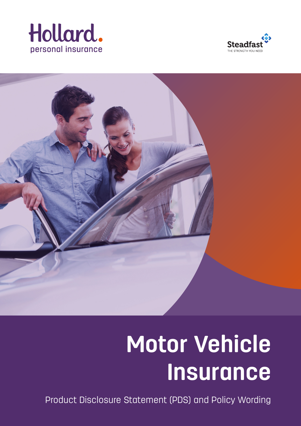





# **Motor Vehicle Insurance**

Product Disclosure Statement (PDS) and Policy Wording <sup>1</sup>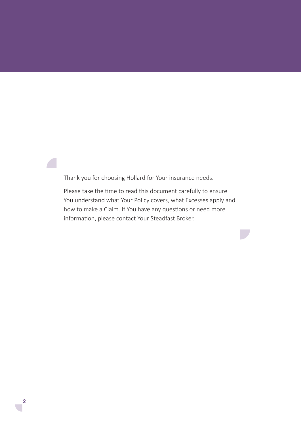Thank you for choosing Hollard for Your insurance needs.

Please take the time to read this document carefully to ensure You understand what Your Policy covers, what Excesses apply and how to make a Claim. If You have any questions or need more information, please contact Your Steadfast Broker.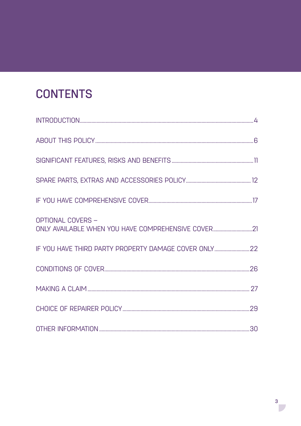# **CONTENTS**

| <b>OPTIONAL COVERS -</b><br>ONLY AVAILABLE WHEN YOU HAVE COMPREHENSIVE COVER21 |  |
|--------------------------------------------------------------------------------|--|
|                                                                                |  |
|                                                                                |  |
|                                                                                |  |
|                                                                                |  |
|                                                                                |  |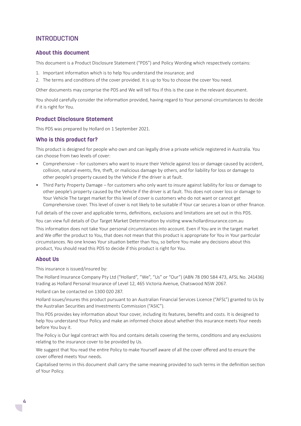# **INTRODUCTION**

#### **About this document**

This document is a Product Disclosure Statement ("PDS") and Policy Wording which respectively contains:

- 1. Important information which is to help You understand the insurance; and
- 2. The terms and conditions of the cover provided. It is up to You to choose the cover You need.

Other documents may comprise the PDS and We will tell You if this is the case in the relevant document.

You should carefully consider the information provided, having regard to Your personal circumstances to decide if it is right for You.

#### **Product Disclosure Statement**

This PDS was prepared by Hollard on 1 September 2021.

#### **Who is this product for?**

This product is designed for people who own and can legally drive a private vehicle registered in Australia. You can choose from two levels of cover:

- Comprehensive for customers who want to insure their Vehicle against loss or damage caused by accident, collision, natural events, fire, theft, or malicious damage by others, and for liability for loss or damage to other people's property caused by the Vehicle if the driver is at fault.
- Third Party Property Damage for customers who only want to insure against liability for loss or damage to other people's property caused by the Vehicle if the driver is at fault. This does not cover loss or damage to Your Vehicle The target market for this level of cover is customers who do not want or cannot get Comprehensive cover. This level of cover is not likely to be suitable if Your car secures a loan or other finance.

Full details of the cover and applicable terms, definitions, exclusions and limitations are set out in this PDS.

You can view full details of Our Target Market Determination by visiting www.hollardinsurance.com.au This information does not take Your personal circumstances into account. Even if You are in the target market and We offer the product to You, that does not mean that this product is appropriate for You in Your particular circumstances. No one knows Your situation better than You, so before You make any decisions about this product, You should read this PDS to decide if this product is right for You.

#### **About Us**

This insurance is issued/insured by:

The Hollard Insurance Company Pty Ltd ("Hollard", "We", "Us" or "Our") (ABN 78 090 584 473, AFSL No. 241436) trading as Hollard Personal Insurance of Level 12, 465 Victoria Avenue, Chatswood NSW 2067.

Hollard can be contacted on 1300 020 287.

Hollard issues/insures this product pursuant to an Australian Financial Services Licence ("AFSL") granted to Us by the Australian Securities and Investments Commission ("ASIC").

This PDS provides key information about Your cover, including its features, benefits and costs. It is designed to help You understand Your Policy and make an informed choice about whether this insurance meets Your needs before You buy it.

The Policy is Our legal contract with You and contains details covering the terms, conditions and any exclusions relating to the insurance cover to be provided by Us.

We suggest that You read the entire Policy to make Yourself aware of all the cover offered and to ensure the cover offered meets Your needs.

Capitalised terms in this document shall carry the same meaning provided to such terms in the definition section of Your Policy.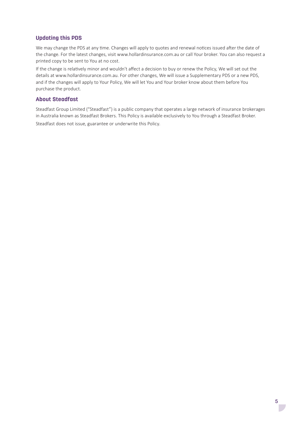# **Updating this PDS**

We may change the PDS at any time. Changes will apply to quotes and renewal notices issued after the date of the change. For the latest changes, visit www.hollardinsurance.com.au or call Your broker. You can also request a printed copy to be sent to You at no cost.

If the change is relatively minor and wouldn't affect a decision to buy or renew the Policy, We will set out the details at www.hollardinsurance.com.au. For other changes, We will issue a Supplementary PDS or a new PDS, and if the changes will apply to Your Policy, We will let You and Your broker know about them before You purchase the product.

# **About Steadfast**

Steadfast Group Limited ("Steadfast") is a public company that operates a large network of insurance brokerages in Australia known as Steadfast Brokers. This Policy is available exclusively to You through a Steadfast Broker.

Steadfast does not issue, guarantee or underwrite this Policy.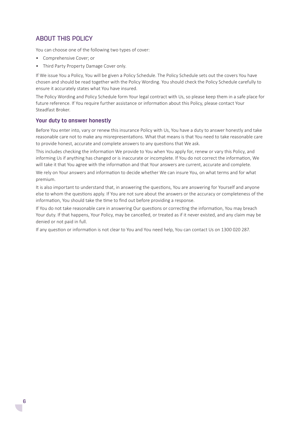# ABOUT THIS POLICY

You can choose one of the following two types of cover:

- Comprehensive Cover; or
- Third Party Property Damage Cover only.

If We issue You a Policy, You will be given a Policy Schedule. The Policy Schedule sets out the covers You have chosen and should be read together with the Policy Wording. You should check the Policy Schedule carefully to ensure it accurately states what You have insured.

The Policy Wording and Policy Schedule form Your legal contract with Us, so please keep them in a safe place for future reference. If You require further assistance or information about this Policy, please contact Your Steadfast Broker.

#### **Your duty to answer honestly**

Before You enter into, vary or renew this insurance Policy with Us, You have a duty to answer honestly and take reasonable care not to make any misrepresentations. What that means is that You need to take reasonable care to provide honest, accurate and complete answers to any questions that We ask.

This includes checking the information We provide to You when You apply for, renew or vary this Policy, and informing Us if anything has changed or is inaccurate or incomplete. If You do not correct the information, We will take it that You agree with the information and that Your answers are current, accurate and complete.

We rely on Your answers and information to decide whether We can insure You, on what terms and for what premium.

It is also important to understand that, in answering the questions, You are answering for Yourself and anyone else to whom the questions apply. If You are not sure about the answers or the accuracy or completeness of the information, You should take the time to find out before providing a response.

If You do not take reasonable care in answering Our questions or correcting the information, You may breach Your duty. If that happens, Your Policy, may be cancelled, or treated as if it never existed, and any claim may be denied or not paid in full.

If any question or information is not clear to You and You need help, You can contact Us on 1300 020 287.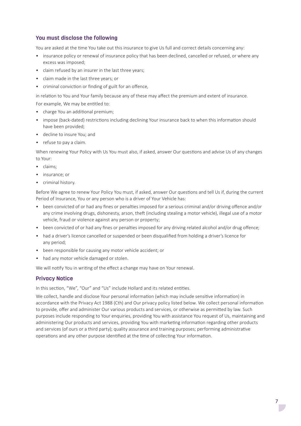# **You must disclose the following**

You are asked at the time You take out this insurance to give Us full and correct details concerning any:

- insurance policy or renewal of insurance policy that has been declined, cancelled or refused, or where any excess was imposed;
- claim refused by an insurer in the last three years;
- claim made in the last three years; or
- criminal conviction or finding of guilt for an offence,

in relation to You and Your family because any of these may affect the premium and extent of insurance.

For example, We may be entitled to:

- charge You an additional premium;
- impose (back-dated) restrictions including declining Your insurance back to when this information should have been provided;
- decline to insure You; and
- refuse to pay a claim.

When renewing Your Policy with Us You must also, if asked, answer Our questions and advise Us of any changes to Your:

- claims;
- insurance; or
- criminal history.

Before We agree to renew Your Policy You must, if asked, answer Our questions and tell Us if, during the current Period of Insurance, You or any person who is a driver of Your Vehicle has:

- been convicted of or had any fines or penalties imposed for a serious criminal and/or driving offence and/or any crime involving drugs, dishonesty, arson, theft (including stealing a motor vehicle), illegal use of a motor vehicle, fraud or violence against any person or property;
- been convicted of or had any fines or penalties imposed for any driving related alcohol and/or drug offence;
- had a driver's licence cancelled or suspended or been disqualified from holding a driver's licence for any period;
- been responsible for causing any motor vehicle accident; or
- had any motor vehicle damaged or stolen.

We will notify You in writing of the effect a change may have on Your renewal.

# **Privacy Notice**

In this section, "We", "Our" and "Us" include Hollard and its related entities.

We collect, handle and disclose Your personal information (which may include sensitive information) in accordance with the Privacy Act 1988 (Cth) and Our privacy policy listed below. We collect personal information to provide, offer and administer Our various products and services, or otherwise as permitted by law. Such purposes include responding to Your enquiries, providing You with assistance You request of Us, maintaining and administering Our products and services, providing You with marketing information regarding other products and services (of ours or a third party); quality assurance and training purposes; performing administrative operations and any other purpose identified at the time of collecting Your information.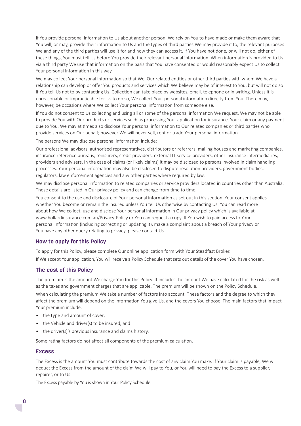If You provide personal information to Us about another person, We rely on You to have made or make them aware that You will, or may, provide their information to Us and the types of third parties We may provide it to, the relevant purposes We and any of the third parties will use it for and how they can access it. If You have not done, or will not do, either of these things, You must tell Us before You provide their relevant personal information. When information is provided to Us via a third party We use that information on the basis that You have consented or would reasonably expect Us to collect Your personal Information in this way.

We may collect Your personal information so that We, Our related entities or other third parties with whom We have a relationship can develop or offer You products and services which We believe may be of interest to You, but will not do so if You tell Us not to by contacting Us. Collection can take place by websites, email, telephone or in writing. Unless it is unreasonable or impracticable for Us to do so, We collect Your personal information directly from You. There may, however, be occasions where We collect Your personal information from someone else.

If You do not consent to Us collecting and using all or some of the personal information We request, We may not be able to provide You with Our products or services such as processing Your application for insurance, Your claim or any payment due to You. We may at times also disclose Your personal information to Our related companies or third parties who provide services on Our behalf; however We will never sell, rent or trade Your personal information.

The persons We may disclose personal information include:

Our professional advisors, authorised representatives, distributors or referrers, mailing houses and marketing companies, insurance reference bureaus, reinsurers, credit providers, external IT service providers, other insurance intermediaries, providers and advisers. In the case of claims (or likely claims) it may be disclosed to persons involved in claim handling processes. Your personal information may also be disclosed to dispute resolution providers, government bodies, regulators, law enforcement agencies and any other parties where required by law.

We may disclose personal information to related companies or service providers located in countries other than Australia. These details are listed in Our privacy policy and can change from time to time.

You consent to the use and disclosure of Your personal information as set out in this section. Your consent applies whether You become or remain the insured unless You tell Us otherwise by contacting Us. You can read more about how We collect, use and disclose Your personal information in Our privacy policy which is available at www.hollardinsurance.com.au/Privacy-Policy or You can request a copy. If You wish to gain access to Your personal information (including correcting or updating it), make a complaint about a breach of Your privacy or You have any other query relating to privacy, please contact Us.

# **How to apply for this Policy**

To apply for this Policy, please complete Our online application form with Your Steadfast Broker. If We accept Your application, You will receive a Policy Schedule that sets out details of the cover You have chosen.

#### **The cost of this Policy**

The premium is the amount We charge You for this Policy. It includes the amount We have calculated for the risk as well as the taxes and government charges that are applicable. The premium will be shown on the Policy Schedule.

When calculating the premium We take a number of factors into account. These factors and the degree to which they affect the premium will depend on the information You give Us, and the covers You choose. The main factors that impact Your premium include:

- the type and amount of cover;
- the Vehicle and driver(s) to be insured; and
- the driver(s)'s previous insurance and claims history.

Some rating factors do not affect all components of the premium calculation.

#### **Excess**

The Excess is the amount You must contribute towards the cost of any claim You make. If Your claim is payable, We will deduct the Excess from the amount of the claim We will pay to You, or You will need to pay the Excess to a supplier, repairer, or to Us.

The Excess payable by You is shown in Your Policy Schedule.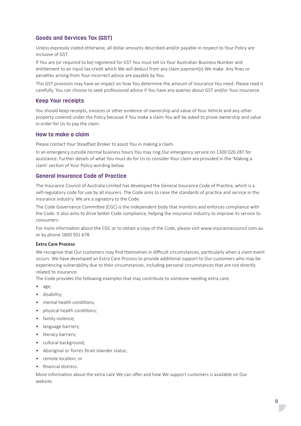# **Goods and Services Tax (GST)**

Unless expressly stated otherwise, all dollar amounts described and/or payable in respect to Your Policy are inclusive of GST.

If You are (or required to be) registered for GST You must tell Us Your Australian Business Number and entitlement to an input tax credit which We will deduct from any claim payment(s) We make. Any fines or penalties arising from Your incorrect advice are payable by You.

This GST provision may have an impact on how You determine the amount of insurance You need. Please read it carefully. You can choose to seek professional advice if You have any queries about GST and/or Your insurance.

#### **Keep Your receipts**

You should keep receipts, invoices or other evidence of ownership and value of Your Vehicle and any other property covered under the Policy because if You make a claim You will be asked to prove ownership and value in order for Us to pay the claim.

#### **How to make a claim**

Please contact Your Steadfast Broker to assist You in making a claim.

In an emergency outside normal business hours You may ring Our emergency service on 1300 020 287 for assistance. Further details of what You must do for Us to consider Your claim are provided in the 'Making a claim' section of Your Policy wording below.

#### **General Insurance Code of Practice**

The Insurance Council of Australia Limited has developed the General Insurance Code of Practice, which is a self-regulatory code for use by all insurers. The Code aims to raise the standards of practice and service in the insurance industry. We are a signatory to the Code.

The Code Governance Committee (CGC) is the independent body that monitors and enforces compliance with the Code. It also aims to drive better Code compliance, helping the insurance industry to improve its service to consumers.

For more information about the CGC or to obtain a copy of the Code, please visit www.insurancecouncil.com.au or by phone 1800 931 678.

#### **Extra Care Process**

We recognise that Our customers may find themselves in difficult circumstances, particularly when a claim event occurs. We have developed an Extra Care Process to provide additional support to Our customers who may be experiencing vulnerability due to their circumstances, including personal circumstances that are not directly related to insurance.

The Code provides the following examples that may contribute to someone needing extra care:

- age;
- disability;
- mental health conditions:
- physical health conditions;
- family violence;
- language barriers;
- literacy barriers;
- cultural background;
- Aboriginal or Torres Strait Islander status;
- remote location; or
- financial distress.

More information about the extra care We can offer and how We support customers is available on Our website.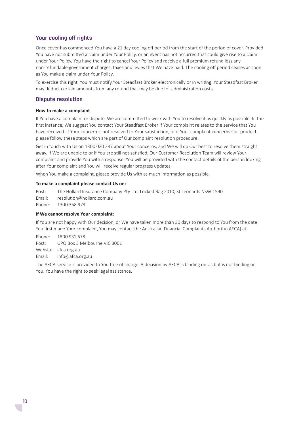#### **Your cooling off rights**

Once cover has commenced You have a 21 day cooling off period from the start of the period of cover. Provided You have not submitted a claim under Your Policy, or an event has not occurred that could give rise to a claim under Your Policy, You have the right to cancel Your Policy and receive a full premium refund less any non-refundable government charges, taxes and levies that We have paid. The cooling off period ceases as soon as You make a claim under Your Policy.

To exercise this right, You must notify Your Steadfast Broker electronically or in writing. Your Steadfast Broker may deduct certain amounts from any refund that may be due for administration costs.

#### **Dispute resolution**

#### **How to make a complaint**

If You have a complaint or dispute, We are committed to work with You to resolve it as quickly as possible. In the first instance, We suggest You contact Your Steadfast Broker if Your complaint relates to the service that You have received. If Your concern is not resolved to Your satisfaction, or if Your complaint concerns Our product, please follow these steps which are part of Our complaint resolution procedure:

Get in touch with Us on 1300 020 287 about Your concerns, and We will do Our best to resolve them straight away. If We are unable to or if You are still not satisfied, Our Customer Resolution Team will review Your complaint and provide You with a response. You will be provided with the contact details of the person looking after Your complaint and You will receive regular progress updates.

When You make a complaint, please provide Us with as much information as possible.

#### **To make a complaint please contact Us on:**

Post: The Hollard Insurance Company Pty Ltd, Locked Bag 2010, St Leonards NSW 1590 Email: resolution@hollard.com.au Phone: 1300 368 979

#### **If We cannot resolve Your complaint:**

If You are not happy with Our decision, or We have taken more than 30 days to respond to You from the date You first made Your complaint, You may contact the Australian Financial Complaints Authority (AFCA) at:

Phone: 1800 931 678 Post: GPO Box 3 Melbourne VIC 3001 Website: afca.org.au

Email: info@afca.org.au

The AFCA service is provided to You free of charge. A decision by AFCA is binding on Us but is not binding on You. You have the right to seek legal assistance.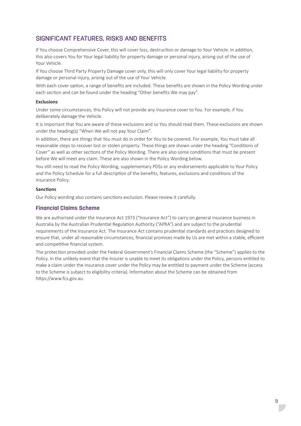# SIGNIFICANT FEATURES, RISKS AND BENEFITS

If You choose Comprehensive Cover, this will cover loss, destruction or damage to Your Vehicle. In addition, this also covers You for Your legal liability for property damage or personal injury, arising out of the use of Your Vehicle.

If You choose Third Party Property Damage cover only, this will only cover Your legal liability for property damage or personal injury, arising out of the use of Your Vehicle.

With each cover option, a range of benefits are included. These benefits are shown in the Policy Wording under each section and can be found under the heading "Other benefits We may pay".

#### **Exclusions**

Under some circumstances, this Policy will not provide any insurance cover to You. For example, if You deliberately damage the Vehicle.

It is important that You are aware of these exclusions and so You should read them. These exclusions are shown under the heading(s) "When We will not pay Your Claim".

In addition, there are things that You must do in order for You to be covered. For example, You must take all reasonable steps to recover lost or stolen property. These things are shown under the heading "Conditions of Cover" as well as other sections of the Policy Wording. There are also some conditions that must be present before We will meet any claim. These are also shown in the Policy Wording below.

You still need to read the Policy Wording, supplementary PDSs or any endorsements applicable to Your Policy and the Policy Schedule for a full description of the benefits, features, exclusions and conditions of the insurance Policy.

#### **Sanctions**

Our Policy wording also contains sanctions exclusion. Please review it carefully.

# **Financial Claims Scheme**

We are authorised under the Insurance Act 1973 ("Insurance Act") to carry on general insurance business in Australia by the Australian Prudential Regulation Authority ("APRA") and are subject to the prudential requirements of the Insurance Act. The Insurance Act contains prudential standards and practices designed to ensure that, under all reasonable circumstances, financial promises made by Us are met within a stable, efficient and competitive financial system.

The protection provided under the Federal Government's Financial Claims Scheme (the "Scheme") applies to the Policy. In the unlikely event that the Insurer is unable to meet its obligations under the Policy, persons entitled to make a claim under the insurance cover under the Policy may be entitled to payment under the Scheme (access to the Scheme is subject to eligibility criteria). Information about the Scheme can be obtained from https://www.fcs.gov.au.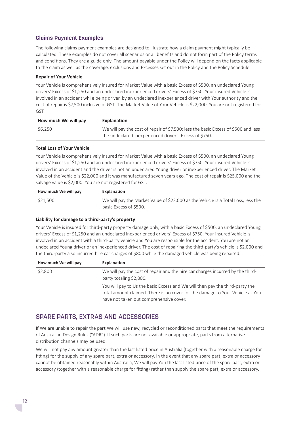# **Claims Payment Examples**

The following claims payment examples are designed to illustrate how a claim payment might typically be calculated. These examples do not cover all scenarios or all benefits and do not form part of the Policy terms and conditions. They are a guide only. The amount payable under the Policy will depend on the facts applicable to the claim as well as the coverage, exclusions and Excesses set out in the Policy and the Policy Schedule.

#### **Repair of Your Vehicle**

Your Vehicle is comprehensively insured for Market Value with a basic Excess of \$500, an undeclared Young drivers' Excess of \$1,250 and an undeclared inexperienced drivers' Excess of \$750. Your insured Vehicle is involved in an accident while being driven by an undeclared inexperienced driver with Your authority and the cost of repair is \$7,500 inclusive of GST. The Market Value of Your Vehicle is \$22,000. You are not registered for GST.

| How much We will pay | Explanation                                                                        |
|----------------------|------------------------------------------------------------------------------------|
| \$6.250              | We will pay the cost of repair of \$7,500; less the basic Excess of \$500 and less |
|                      | the undeclared inexperienced drivers' Excess of \$750.                             |

#### **Total Loss of Your Vehicle**

Your Vehicle is comprehensively insured for Market Value with a basic Excess of \$500, an undeclared Young drivers' Excess of \$1,250 and an undeclared inexperienced drivers' Excess of \$750. Your insured Vehicle is involved in an accident and the driver is not an undeclared Young driver or inexperienced driver. The Market Value of the Vehicle is \$22,000 and it was manufactured seven years ago. The cost of repair is \$25,000 and the salvage value is \$2,000. You are not registered for GST.

| How much We will pay | Explanation                                                                                                 |
|----------------------|-------------------------------------------------------------------------------------------------------------|
| \$21.500             | We will pay the Market Value of \$22,000 as the Vehicle is a Total Loss; less the<br>basic Excess of \$500. |

#### **Liability for damage to a third-party's property**

Your Vehicle is insured for third-party property damage only, with a basic Excess of \$500, an undeclared Young drivers' Excess of \$1,250 and an undeclared inexperienced drivers' Excess of \$750. Your insured Vehicle is involved in an accident with a third-party vehicle and You are responsible for the accident. You are not an undeclared Young driver or an inexperienced driver. The cost of repairing the third-party's vehicle is \$2,000 and the third-party also incurred hire car charges of \$800 while the damaged vehicle was being repaired.

| How much We will pay | Explanation                                                                                                                                                                                              |
|----------------------|----------------------------------------------------------------------------------------------------------------------------------------------------------------------------------------------------------|
| \$2,800              | We will pay the cost of repair and the hire car charges incurred by the third-<br>party totaling \$2,800.                                                                                                |
|                      | You will pay to Us the basic Excess and We will then pay the third-party the<br>total amount claimed. There is no cover for the damage to Your Vehicle as You<br>have not taken out comprehensive cover. |

# SPARE PARTS, EXTRAS AND ACCESSORIES

If We are unable to repair the part We will use new, recycled or reconditioned parts that meet the requirements of Australian Design Rules ("ADR"). If such parts are not available or appropriate, parts from alternative distribution channels may be used.

We will not pay any amount greater than the last listed price in Australia (together with a reasonable charge for fitting) for the supply of any spare part, extra or accessory. In the event that any spare part, extra or accessory cannot be obtained reasonably within Australia, We will pay You the last listed price of the spare part, extra or accessory (together with a reasonable charge for fitting) rather than supply the spare part, extra or accessory.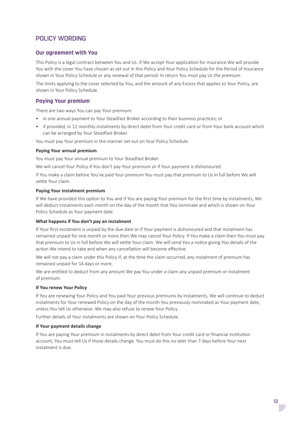# POLICY WORDING

#### **Our agreement with You**

This Policy is a legal contract between You and Us. If We accept Your application for insurance We will provide You with the cover You have chosen as set out in this Policy and Your Policy Schedule for the Period of Insurance shown in Your Policy Schedule or any renewal of that period. In return You must pay Us the premium.

The limits applying to the cover selected by You, and the amount of any Excess that applies to Your Policy, are shown in Your Policy Schedule.

#### **Paying Your premium**

There are two ways You can pay Your premium:

- in one annual payment to Your Steadfast Broker according to their business practices; or
- if provided, in 12 monthly instalments by direct debit from Your credit card or from Your bank account which can be arranged by Your Steadfast Broker.

You must pay Your premium in the manner set out on Your Policy Schedule.

#### **Paying Your annual premium**

You must pay Your annual premium to Your Steadfast Broker.

We will cancel Your Policy if You don't pay Your premium or if Your payment is dishonoured.

If You make a claim before You've paid Your premium You must pay that premium to Us in full before We will settle Your claim.

#### **Paying Your instalment premium**

If We have provided this option to You and if You are paying Your premium for the first time by instalments, We will deduct instalments each month on the day of the month that You nominate and which is shown on Your Policy Schedule as Your payment date.

#### **What happens if You don't pay an instalment**

If Your first instalment is unpaid by the due date or if Your payment is dishonoured and that instalment has remained unpaid for one month or more then We may cancel Your Policy. If You make a claim then You must pay that premium to Us in full before We will settle Your claim. We will send You a notice giving You details of the action We intend to take and when any cancellation will become effective.

We will not pay a claim under this Policy if, at the time the claim occurred, any instalment of premium has remained unpaid for 14 days or more.

We are entitled to deduct from any amount We pay You under a claim any unpaid premium or instalment of premium.

#### **If You renew Your Policy**

If You are renewing Your Policy and You paid Your previous premiums by instalments, We will continue to deduct instalments for Your renewed Policy on the day of the month You previously nominated as Your payment date, unless You tell Us otherwise. We may also refuse to renew Your Policy.

Further details of Your instalments are shown on Your Policy Schedule.

#### **If Your payment details change**

If You are paying Your premium in instalments by direct debit from Your credit card or financial institution account, You must tell Us if those details change. You must do this no later than 7 days before Your next instalment is due.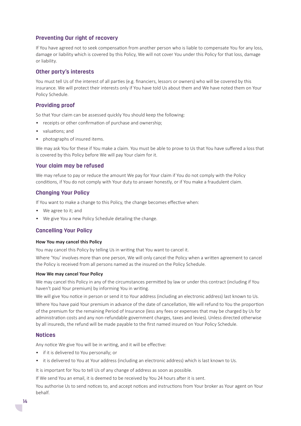# **Preventing Our right of recovery**

If You have agreed not to seek compensation from another person who is liable to compensate You for any loss, damage or liability which is covered by this Policy, We will not cover You under this Policy for that loss, damage or liability.

#### **Other party's interests**

You must tell Us of the interest of all parties (e.g. financiers, lessors or owners) who will be covered by this insurance. We will protect their interests only if You have told Us about them and We have noted them on Your Policy Schedule.

#### **Providing proof**

So that Your claim can be assessed quickly You should keep the following:

- receipts or other confirmation of purchase and ownership;
- valuations; and
- photographs of insured items.

We may ask You for these if You make a claim. You must be able to prove to Us that You have suffered a loss that is covered by this Policy before We will pay Your claim for it.

#### **Your claim may be refused**

We may refuse to pay or reduce the amount We pay for Your claim if You do not comply with the Policy conditions, if You do not comply with Your duty to answer honestly, or if You make a fraudulent claim.

#### **Changing Your Policy**

If You want to make a change to this Policy, the change becomes effective when:

- We agree to it; and
- We give You a new Policy Schedule detailing the change.

#### **Cancelling Your Policy**

#### **How You may cancel this Policy**

You may cancel this Policy by telling Us in writing that You want to cancel it.

Where 'You' involves more than one person, We will only cancel the Policy when a written agreement to cancel the Policy is received from all persons named as the insured on the Policy Schedule.

#### **How We may cancel Your Policy**

We may cancel this Policy in any of the circumstances permitted by law or under this contract (including if You haven't paid Your premium) by informing You in writing.

We will give You notice in person or send it to Your address (including an electronic address) last known to Us.

Where You have paid Your premium in advance of the date of cancellation, We will refund to You the proportion of the premium for the remaining Period of Insurance (less any fees or expenses that may be charged by Us for administration costs and any non-refundable government charges, taxes and levies). Unless directed otherwise by all insureds, the refund will be made payable to the first named insured on Your Policy Schedule.

#### **Notices**

Any notice We give You will be in writing, and it will be effective:

- if it is delivered to You personally; or
- it is delivered to You at Your address (including an electronic address) which is last known to Us.

It is important for You to tell Us of any change of address as soon as possible.

If We send You an email, it is deemed to be received by You 24 hours after it is sent.

You authorise Us to send notices to, and accept notices and instructions from Your broker as Your agent on Your behalf.

 $\overline{\mathcal{L}}$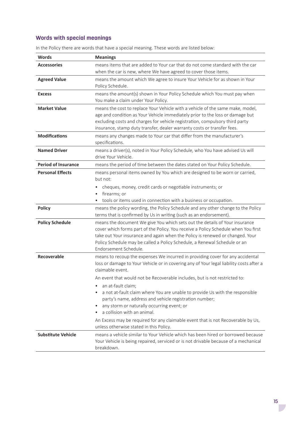# **Words with special meanings**

| <b>Words</b>               | <b>Meanings</b>                                                                                                                                                                                                                                                                                                                                          |
|----------------------------|----------------------------------------------------------------------------------------------------------------------------------------------------------------------------------------------------------------------------------------------------------------------------------------------------------------------------------------------------------|
| <b>Accessories</b>         | means items that are added to Your car that do not come standard with the car<br>when the car is new, where We have agreed to cover those items.                                                                                                                                                                                                         |
| <b>Agreed Value</b>        | means the amount which We agree to insure Your Vehicle for as shown in Your<br>Policy Schedule.                                                                                                                                                                                                                                                          |
| <b>Excess</b>              | means the amount(s) shown in Your Policy Schedule which You must pay when<br>You make a claim under Your Policy.                                                                                                                                                                                                                                         |
| <b>Market Value</b>        | means the cost to replace Your Vehicle with a vehicle of the same make, model,<br>age and condition as Your Vehicle immediately prior to the loss or damage but<br>excluding costs and charges for vehicle registration, compulsory third party<br>insurance, stamp duty transfer, dealer warranty costs or transfer fees.                               |
| <b>Modifications</b>       | means any changes made to Your car that differ from the manufacturer's<br>specifications.                                                                                                                                                                                                                                                                |
| <b>Named Driver</b>        | means a driver(s), noted in Your Policy Schedule, who You have advised Us will<br>drive Your Vehicle.                                                                                                                                                                                                                                                    |
| <b>Period of Insurance</b> | means the period of time between the dates stated on Your Policy Schedule.                                                                                                                                                                                                                                                                               |
| <b>Personal Effects</b>    | means personal items owned by You which are designed to be worn or carried,<br>but not:                                                                                                                                                                                                                                                                  |
|                            | cheques, money, credit cards or negotiable instruments; or<br>firearms; or<br>tools or items used in connection with a business or occupation.                                                                                                                                                                                                           |
| <b>Policy</b>              | means the policy wording, the Policy Schedule and any other change to the Policy<br>terms that is confirmed by Us in writing (such as an endorsement).                                                                                                                                                                                                   |
| <b>Policy Schedule</b>     | means the document We give You which sets out the details of Your insurance<br>cover which forms part of the Policy. You receive a Policy Schedule when You first<br>take out Your insurance and again when the Policy is renewed or changed. Your<br>Policy Schedule may be called a Policy Schedule, a Renewal Schedule or an<br>Endorsement Schedule. |
| <b>Recoverable</b>         | means to recoup the expenses We incurred in providing cover for any accidental<br>loss or damage to Your Vehicle or in covering any of Your legal liability costs after a<br>claimable event.                                                                                                                                                            |
|                            | An event that would not be Recoverable includes, but is not restricted to:                                                                                                                                                                                                                                                                               |
|                            | an at-fault claim;<br>a not at-fault claim where You are unable to provide Us with the responsible<br>$\bullet$<br>party's name, address and vehicle registration number;<br>any storm or naturally occurring event; or<br>a collision with an animal.                                                                                                   |
|                            | An Excess may be required for any claimable event that is not Recoverable by Us,<br>unless otherwise stated in this Policy.                                                                                                                                                                                                                              |
| <b>Substitute Vehicle</b>  | means a vehicle similar to Your Vehicle which has been hired or borrowed because<br>Your Vehicle is being repaired, serviced or is not drivable because of a mechanical<br>breakdown.                                                                                                                                                                    |

In the Policy there are words that have a special meaning. These words are listed below: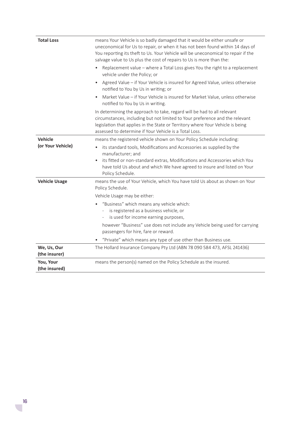| <b>Total Loss</b>            | means Your Vehicle is so badly damaged that it would be either unsafe or<br>uneconomical for Us to repair, or when it has not been found within 14 days of<br>You reporting its theft to Us. Your Vehicle will be uneconomical to repair if the<br>salvage value to Us plus the cost of repairs to Us is more than the:<br>Replacement value - where a Total Loss gives You the right to a replacement |
|------------------------------|--------------------------------------------------------------------------------------------------------------------------------------------------------------------------------------------------------------------------------------------------------------------------------------------------------------------------------------------------------------------------------------------------------|
|                              | vehicle under the Policy; or<br>Agreed Value - if Your Vehicle is insured for Agreed Value, unless otherwise<br>$\bullet$<br>notified to You by Us in writing; or                                                                                                                                                                                                                                      |
|                              | Market Value - if Your Vehicle is insured for Market Value, unless otherwise<br>notified to You by Us in writing.                                                                                                                                                                                                                                                                                      |
|                              | In determining the approach to take, regard will be had to all relevant<br>circumstances, including but not limited to Your preference and the relevant<br>legislation that applies in the State or Territory where Your Vehicle is being<br>assessed to determine if Your Vehicle is a Total Loss.                                                                                                    |
| Vehicle                      | means the registered vehicle shown on Your Policy Schedule including:                                                                                                                                                                                                                                                                                                                                  |
| (or Your Vehicle)            | its standard tools, Modifications and Accessories as supplied by the<br>manufacturer; and<br>its fitted or non-standard extras, Modifications and Accessories which You<br>$\bullet$<br>have told Us about and which We have agreed to insure and listed on Your<br>Policy Schedule.                                                                                                                   |
| <b>Vehicle Usage</b>         | means the use of Your Vehicle, which You have told Us about as shown on Your<br>Policy Schedule.                                                                                                                                                                                                                                                                                                       |
|                              | Vehicle Usage may be either:                                                                                                                                                                                                                                                                                                                                                                           |
|                              | "Business" which means any vehicle which:<br>is registered as a business vehicle, or<br>is used for income earning purposes,<br>$\overline{\phantom{a}}$                                                                                                                                                                                                                                               |
|                              | however "Business" use does not include any Vehicle being used for carrying<br>passengers for hire, fare or reward.                                                                                                                                                                                                                                                                                    |
|                              | "Private" which means any type of use other than Business use.                                                                                                                                                                                                                                                                                                                                         |
| We, Us, Our<br>(the insurer) | The Hollard Insurance Company Pty Ltd (ABN 78 090 584 473, AFSL 241436)                                                                                                                                                                                                                                                                                                                                |
| You, Your<br>(the insured)   | means the person(s) named on the Policy Schedule as the insured.                                                                                                                                                                                                                                                                                                                                       |

 $\mathcal{L}^{\mathcal{A}}$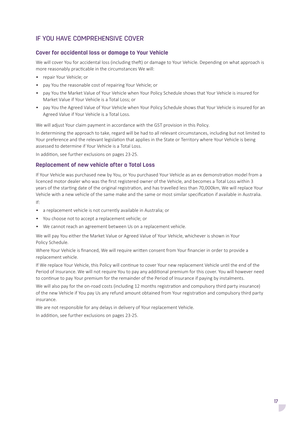# IF YOU HAVE COMPREHENSIVE COVER

#### **Cover for accidental loss or damage to Your Vehicle**

We will cover You for accidental loss (including theft) or damage to Your Vehicle. Depending on what approach is more reasonably practicable in the circumstances We will:

- repair Your Vehicle; or
- pay You the reasonable cost of repairing Your Vehicle; or
- pay You the Market Value of Your Vehicle when Your Policy Schedule shows that Your Vehicle is insured for Market Value if Your Vehicle is a Total Loss; or
- pay You the Agreed Value of Your Vehicle when Your Policy Schedule shows that Your Vehicle is insured for an Agreed Value if Your Vehicle is a Total Loss.

We will adjust Your claim payment in accordance with the GST provision in this Policy.

In determining the approach to take, regard will be had to all relevant circumstances, including but not limited to Your preference and the relevant legislation that applies in the State or Territory where Your Vehicle is being assessed to determine if Your Vehicle is a Total Loss.

In addition, see further exclusions on pages 23-25.

#### **Replacement of new vehicle after a Total Loss**

If Your Vehicle was purchased new by You, or You purchased Your Vehicle as an ex demonstration model from a licenced motor dealer who was the first registered owner of the Vehicle, and becomes a Total Loss within 3 years of the starting date of the original registration, and has travelled less than 70,000km, We will replace Your Vehicle with a new vehicle of the same make and the same or most similar specification if available in Australia.

If:

- a replacement vehicle is not currently available in Australia; or
- You choose not to accept a replacement vehicle; or
- We cannot reach an agreement between Us on a replacement vehicle.

We will pay You either the Market Value or Agreed Value of Your Vehicle, whichever is shown in Your Policy Schedule.

Where Your Vehicle is financed, We will require written consent from Your financier in order to provide a replacement vehicle.

If We replace Your Vehicle, this Policy will continue to cover Your new replacement Vehicle until the end of the Period of Insurance. We will not require You to pay any additional premium for this cover. You will however need to continue to pay Your premium for the remainder of the Period of Insurance if paying by instalments.

We will also pay for the on-road costs (including 12 months registration and compulsory third party insurance) of the new Vehicle if You pay Us any refund amount obtained from Your registration and compulsory third party insurance.

We are not responsible for any delays in delivery of Your replacement Vehicle.

In addition, see further exclusions on pages 23-25.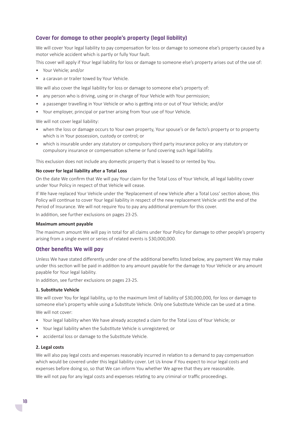#### **Cover for damage to other people's property (legal liability)**

We will cover Your legal liability to pay compensation for loss or damage to someone else's property caused by a motor vehicle accident which is partly or fully Your fault.

This cover will apply if Your legal liability for loss or damage to someone else's property arises out of the use of:

- Your Vehicle; and/or
- a caravan or trailer towed by Your Vehicle.

We will also cover the legal liability for loss or damage to someone else's property of:

- any person who is driving, using or in charge of Your Vehicle with Your permission;
- a passenger travelling in Your Vehicle or who is getting into or out of Your Vehicle; and/or
- Your employer, principal or partner arising from Your use of Your Vehicle.

We will not cover legal liability:

- when the loss or damage occurs to Your own property, Your spouse's or de facto's property or to property which is in Your possession, custody or control; or
- which is insurable under any statutory or compulsory third party insurance policy or any statutory or compulsory insurance or compensation scheme or fund covering such legal liability.

This exclusion does not include any domestic property that is leased to or rented by You.

#### **No cover for legal liability after a Total Loss**

On the date We confirm that We will pay Your claim for the Total Loss of Your Vehicle, all legal liability cover under Your Policy in respect of that Vehicle will cease.

If We have replaced Your Vehicle under the 'Replacement of new Vehicle after a Total Loss' section above, this Policy will continue to cover Your legal liability in respect of the new replacement Vehicle until the end of the Period of Insurance. We will not require You to pay any additional premium for this cover.

In addition, see further exclusions on pages 23-25.

#### **Maximum amount payable**

The maximum amount We will pay in total for all claims under Your Policy for damage to other people's property arising from a single event or series of related events is \$30,000,000.

#### **Other benefits We will pay**

Unless We have stated differently under one of the additional benefits listed below, any payment We may make under this section will be paid in addition to any amount payable for the damage to Your Vehicle or any amount payable for Your legal liability.

In addition, see further exclusions on pages 23-25.

#### **1. Substitute Vehicle**

We will cover You for legal liability, up to the maximum limit of liability of \$30,000,000, for loss or damage to someone else's property while using a Substitute Vehicle. Only one Substitute Vehicle can be used at a time. We will not cover:

- Your legal liability when We have already accepted a claim for the Total Loss of Your Vehicle; or
- Your legal liability when the Substitute Vehicle is unregistered; or
- accidental loss or damage to the Substitute Vehicle.

#### **2. Legal costs**

We will also pay legal costs and expenses reasonably incurred in relation to a demand to pay compensation which would be covered under this legal liability cover. Let Us know if You expect to incur legal costs and expenses before doing so, so that We can inform You whether We agree that they are reasonable.

We will not pay for any legal costs and expenses relating to any criminal or traffic proceedings.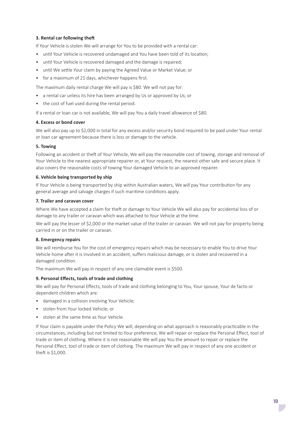#### **3. Rental car following theft**

If Your Vehicle is stolen We will arrange for You to be provided with a rental car:

- until Your Vehicle is recovered undamaged and You have been told of its location;
- until Your Vehicle is recovered damaged and the damage is repaired;
- until We settle Your claim by paying the Agreed Value or Market Value; or
- for a maximum of 21 days, whichever happens first.

The maximum daily rental charge We will pay is \$80. We will not pay for:

- a rental car unless its hire has been arranged by Us or approved by Us; or
- the cost of fuel used during the rental period.

If a rental or loan car is not available, We will pay You a daily travel allowance of \$80.

#### **4. Excess or bond cover**

We will also pay up to \$2,000 in total for any excess and/or security bond required to be paid under Your rental or loan car agreement because there is loss or damage to the vehicle.

#### **5. Towing**

Following an accident or theft of Your Vehicle, We will pay the reasonable cost of towing, storage and removal of Your Vehicle to the nearest appropriate repairer or, at Your request, the nearest other safe and secure place. It also covers the reasonable costs of towing Your damaged Vehicle to an approved repairer.

#### **6. Vehicle being transported by ship**

If Your Vehicle is being transported by ship within Australian waters, We will pay Your contribution for any general average and salvage charges if such maritime conditions apply.

#### **7. Trailer and caravan cover**

Where We have accepted a claim for theft or damage to Your Vehicle We will also pay for accidental loss of or damage to any trailer or caravan which was attached to Your Vehicle at the time.

We will pay the lesser of \$2,000 or the market value of the trailer or caravan. We will not pay for property being carried in or on the trailer or caravan.

#### **8. Emergency repairs**

We will reimburse You for the cost of emergency repairs which may be necessary to enable You to drive Your Vehicle home after it is involved in an accident, suffers malicious damage, or is stolen and recovered in a damaged condition.

The maximum We will pay in respect of any one claimable event is \$500.

#### **9. Personal Effects, tools of trade and clothing**

We will pay for Personal Effects, tools of trade and clothing belonging to You, Your spouse, Your de facto or dependent children which are:

- damaged in a collision involving Your Vehicle;
- stolen from Your locked Vehicle; or
- stolen at the same time as Your Vehicle.

If Your claim is payable under the Policy We will, depending on what approach is reasonably practicable in the circumstances, including but not limited to Your preference, We will repair or replace the Personal Effect, tool of trade or item of clothing. Where it is not reasonable We will pay You the amount to repair or replace the Personal Effect, tool of trade or item of clothing. The maximum We will pay in respect of any one accident or theft is \$1,000.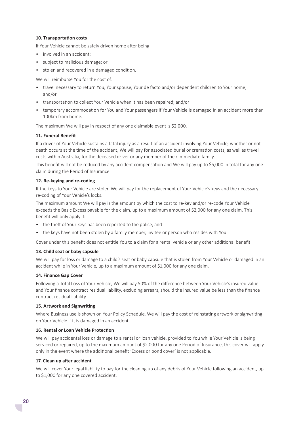#### **10. Transportation costs**

If Your Vehicle cannot be safely driven home after being:

- involved in an accident:
- subject to malicious damage; or
- stolen and recovered in a damaged condition.

We will reimburse You for the cost of:

- travel necessary to return You, Your spouse, Your de facto and/or dependent children to Your home; and/or
- transportation to collect Your Vehicle when it has been repaired; and/or
- temporary accommodation for You and Your passengers if Your Vehicle is damaged in an accident more than 100km from home.

The maximum We will pay in respect of any one claimable event is \$2,000.

#### **11. Funeral Benefit**

If a driver of Your Vehicle sustains a fatal injury as a result of an accident involving Your Vehicle, whether or not death occurs at the time of the accident, We will pay for associated burial or cremation costs, as well as travel costs within Australia, for the deceased driver or any member of their immediate family.

This benefit will not be reduced by any accident compensation and We will pay up to \$5,000 in total for any one claim during the Period of Insurance.

#### **12. Re-keying and re-coding**

If the keys to Your Vehicle are stolen We will pay for the replacement of Your Vehicle's keys and the necessary re-coding of Your Vehicle's locks.

The maximum amount We will pay is the amount by which the cost to re-key and/or re-code Your Vehicle exceeds the Basic Excess payable for the claim, up to a maximum amount of \$2,000 for any one claim. This benefit will only apply if:

- the theft of Your keys has been reported to the police; and
- the keys have not been stolen by a family member, invitee or person who resides with You.

Cover under this benefit does not entitle You to a claim for a rental vehicle or any other additional benefit.

#### **13. Child seat or baby capsule**

We will pay for loss or damage to a child's seat or baby capsule that is stolen from Your Vehicle or damaged in an accident while in Your Vehicle, up to a maximum amount of \$1,000 for any one claim.

#### **14. Finance Gap Cover**

Following a Total Loss of Your Vehicle, We will pay 50% of the difference between Your Vehicle's insured value and Your finance contract residual liability, excluding arrears, should the insured value be less than the finance contract residual liability.

#### **15. Artwork and Signwriting**

Where Business use is shown on Your Policy Schedule, We will pay the cost of reinstating artwork or signwriting on Your Vehicle if it is damaged in an accident.

#### **16. Rental or Loan Vehicle Protection**

We will pay accidental loss or damage to a rental or loan vehicle, provided to You while Your Vehicle is being serviced or repaired, up to the maximum amount of \$2,000 for any one Period of Insurance, this cover will apply only in the event where the additional benefit 'Excess or bond cover' is not applicable.

#### **17. Clean up after accident**

We will cover Your legal liability to pay for the cleaning up of any debris of Your Vehicle following an accident, up to \$1,000 for any one covered accident.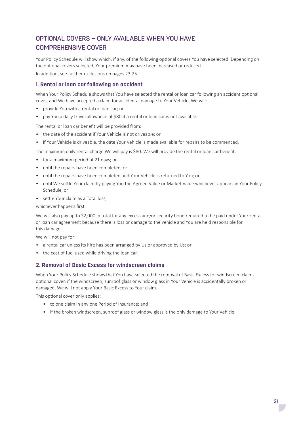# OPTIONAL COVERS – ONLY AVAILABLE WHEN YOU HAVE COMPREHENSIVE COVER

Your Policy Schedule will show which, if any, of the following optional covers You have selected. Depending on the optional covers selected, Your premium may have been increased or reduced. In addition, see further exclusions on pages 23-25.

# **1. Rental or loan car following an accident**

When Your Policy Schedule shows that You have selected the rental or loan car following an accident optional cover, and We have accepted a claim for accidental damage to Your Vehicle, We will:

- provide You with a rental or loan car; or
- pay You a daily travel allowance of \$80 if a rental or loan car is not available.

The rental or loan car benefit will be provided from:

- the date of the accident if Your Vehicle is not driveable; or
- if Your Vehicle is driveable, the date Your Vehicle is made available for repairs to be commenced.

The maximum daily rental charge We will pay is \$80. We will provide the rental or loan car benefit:

- for a maximum period of 21 days; or
- until the repairs have been completed; or
- until the repairs have been completed and Your Vehicle is returned to You; or
- until We settle Your claim by paying You the Agreed Value or Market Value whichever appears in Your Policy Schedule; or
- settle Your claim as a Total loss,

whichever happens first.

We will also pay up to \$2,000 in total for any excess and/or security bond required to be paid under Your rental or loan car agreement because there is loss or damage to the vehicle and You are held responsible for this damage.

We will not pay for:

- a rental car unless its hire has been arranged by Us or approved by Us; or
- the cost of fuel used while driving the loan car.

#### **2. Removal of Basic Excess for windscreen claims**

When Your Policy Schedule shows that You have selected the removal of Basic Excess for windscreen claims optional cover, if the windscreen, sunroof glass or window glass in Your Vehicle is accidentally broken or damaged, We will not apply Your Basic Excess to Your claim.

This optional cover only applies:

- to one claim in any one Period of Insurance; and
- if the broken windscreen, sunroof glass or window glass is the only damage to Your Vehicle.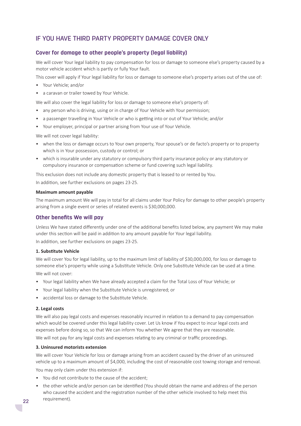# IF YOU HAVE THIRD PARTY PROPERTY DAMAGE COVER ONLY

#### **Cover for damage to other people's property (legal liability)**

We will cover Your legal liability to pay compensation for loss or damage to someone else's property caused by a motor vehicle accident which is partly or fully Your fault.

This cover will apply if Your legal liability for loss or damage to someone else's property arises out of the use of:

- Your Vehicle; and/or
- a caravan or trailer towed by Your Vehicle.

We will also cover the legal liability for loss or damage to someone else's property of:

- any person who is driving, using or in charge of Your Vehicle with Your permission;
- a passenger travelling in Your Vehicle or who is getting into or out of Your Vehicle; and/or
- Your employer, principal or partner arising from Your use of Your Vehicle.

We will not cover legal liability:

- when the loss or damage occurs to Your own property, Your spouse's or de facto's property or to property which is in Your possession, custody or control; or
- which is insurable under any statutory or compulsory third party insurance policy or any statutory or compulsory insurance or compensation scheme or fund covering such legal liability.

This exclusion does not include any domestic property that is leased to or rented by You.

In addition, see further exclusions on pages 23-25.

#### **Maximum amount payable**

The maximum amount We will pay in total for all claims under Your Policy for damage to other people's property arising from a single event or series of related events is \$30,000,000.

#### **Other benefits We will pay**

Unless We have stated differently under one of the additional benefits listed below, any payment We may make under this section will be paid in addition to any amount payable for Your legal liability.

In addition, see further exclusions on pages 23-25.

#### **1. Substitute Vehicle**

We will cover You for legal liability, up to the maximum limit of liability of \$30,000,000, for loss or damage to someone else's property while using a Substitute Vehicle. Only one Substitute Vehicle can be used at a time. We will not cover:

- Your legal liability when We have already accepted a claim for the Total Loss of Your Vehicle; or
- Your legal liability when the Substitute Vehicle is unregistered; or
- accidental loss or damage to the Substitute Vehicle.

#### **2. Legal costs**

We will also pay legal costs and expenses reasonably incurred in relation to a demand to pay compensation which would be covered under this legal liability cover. Let Us know if You expect to incur legal costs and expenses before doing so, so that We can inform You whether We agree that they are reasonable.

We will not pay for any legal costs and expenses relating to any criminal or traffic proceedings.

#### **3. Uninsured motorists extension**

We will cover Your Vehicle for loss or damage arising from an accident caused by the driver of an uninsured vehicle up to a maximum amount of \$4,000, including the cost of reasonable cost towing storage and removal.

You may only claim under this extension if:

- You did not contribute to the cause of the accident;
- the other vehicle and/or person can be identified (You should obtain the name and address of the person who caused the accident and the registration number of the other vehicle involved to help meet this requirement).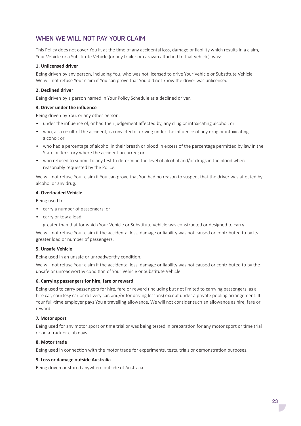# WHEN WE WILL NOT PAY YOUR CLAIM

This Policy does not cover You if, at the time of any accidental loss, damage or liability which results in a claim, Your Vehicle or a Substitute Vehicle (or any trailer or caravan attached to that vehicle), was:

#### **1. Unlicensed driver**

Being driven by any person, including You, who was not licensed to drive Your Vehicle or Substitute Vehicle. We will not refuse Your claim if You can prove that You did not know the driver was unlicensed.

#### **2. Declined driver**

Being driven by a person named in Your Policy Schedule as a declined driver.

#### **3. Driver under the influence**

Being driven by You, or any other person:

- under the influence of, or had their judgement affected by, any drug or intoxicating alcohol; or
- who, as a result of the accident, is convicted of driving under the influence of any drug or intoxicating alcohol; or
- who had a percentage of alcohol in their breath or blood in excess of the percentage permitted by law in the State or Territory where the accident occurred; or
- who refused to submit to any test to determine the level of alcohol and/or drugs in the blood when reasonably requested by the Police.

We will not refuse Your claim if You can prove that You had no reason to suspect that the driver was affected by alcohol or any drug.

#### **4. Overloaded Vehicle**

Being used to:

- carry a number of passengers; or
- carry or tow a load,

greater than that for which Your Vehicle or Substitute Vehicle was constructed or designed to carry.

We will not refuse Your claim if the accidental loss, damage or liability was not caused or contributed to by its greater load or number of passengers.

#### **5. Unsafe Vehicle**

Being used in an unsafe or unroadworthy condition.

We will not refuse Your claim if the accidental loss, damage or liability was not caused or contributed to by the unsafe or unroadworthy condition of Your Vehicle or Substitute Vehicle.

#### **6. Carrying passengers for hire, fare or reward**

Being used to carry passengers for hire, fare or reward (including but not limited to carrying passengers, as a hire car, courtesy car or delivery car, and/or for driving lessons) except under a private pooling arrangement. If Your full-time employer pays You a travelling allowance, We will not consider such an allowance as hire, fare or reward.

#### **7. Motor sport**

Being used for any motor sport or time trial or was being tested in preparation for any motor sport or time trial or on a track or club days.

#### **8. Motor trade**

Being used in connection with the motor trade for experiments, tests, trials or demonstration purposes.

#### **9. Loss or damage outside Australia**

Being driven or stored anywhere outside of Australia.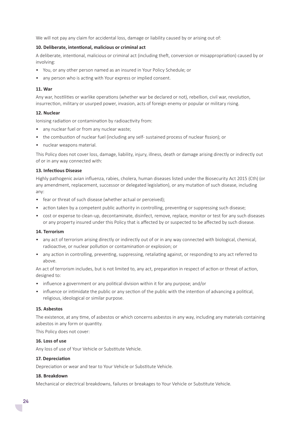We will not pay any claim for accidental loss, damage or liability caused by or arising out of:

#### **10. Deliberate, intentional, malicious or criminal act**

A deliberate, intentional, malicious or criminal act (including theft, conversion or misappropriation) caused by or involving:

- You, or any other person named as an insured in Your Policy Schedule; or
- any person who is acting with Your express or implied consent.

#### **11. War**

Any war, hostilities or warlike operations (whether war be declared or not), rebellion, civil war, revolution, insurrection, military or usurped power, invasion, acts of foreign enemy or popular or military rising.

#### **12. Nuclear**

Ionising radiation or contamination by radioactivity from:

- any nuclear fuel or from any nuclear waste;
- the combustion of nuclear fuel (including any self- sustained process of nuclear fission); or
- nuclear weapons material.

This Policy does not cover loss, damage, liability, injury, illness, death or damage arising directly or indirectly out of or in any way connected with:

#### **13. Infectious Disease**

Highly pathogenic avian influenza, rabies, cholera, human diseases listed under the Biosecurity Act 2015 (Cth) (or any amendment, replacement, successor or delegated legislation), or any mutation of such disease, including any:

- fear or threat of such disease (whether actual or perceived);
- action taken by a competent public authority in controlling, preventing or suppressing such disease;
- cost or expense to clean-up, decontaminate, disinfect, remove, replace, monitor or test for any such diseases or any property insured under this Policy that is affected by or suspected to be affected by such disease.

#### **14. Terrorism**

- any act of terrorism arising directly or indirectly out of or in any way connected with biological, chemical, radioactive, or nuclear pollution or contamination or explosion; or
- any action in controlling, preventing, suppressing, retaliating against, or responding to any act referred to above.

An act of terrorism includes, but is not limited to, any act, preparation in respect of action or threat of action, designed to:

- influence a government or any political division within it for any purpose; and/or
- influence or intimidate the public or any section of the public with the intention of advancing a political, religious, ideological or similar purpose.

#### **15. Asbestos**

The existence, at any time, of asbestos or which concerns asbestos in any way, including any materials containing asbestos in any form or quantity.

This Policy does not cover:

#### **16. Loss of use**

Any loss of use of Your Vehicle or Substitute Vehicle.

#### **17. Depreciation**

Depreciation or wear and tear to Your Vehicle or Substitute Vehicle.

#### **18. Breakdown**

Mechanical or electrical breakdowns, failures or breakages to Your Vehicle or Substitute Vehicle.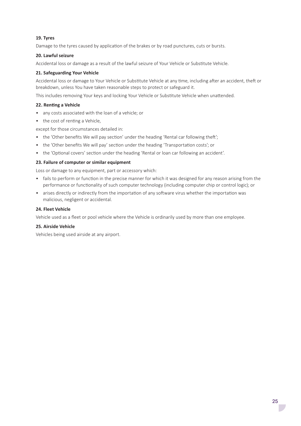#### **19. Tyres**

Damage to the tyres caused by application of the brakes or by road punctures, cuts or bursts.

#### **20. Lawful seizure**

Accidental loss or damage as a result of the lawful seizure of Your Vehicle or Substitute Vehicle.

#### **21. Safeguarding Your Vehicle**

Accidental loss or damage to Your Vehicle or Substitute Vehicle at any time, including after an accident, theft or breakdown, unless You have taken reasonable steps to protect or safeguard it.

This includes removing Your keys and locking Your Vehicle or Substitute Vehicle when unattended.

#### **22. Renting a Vehicle**

- any costs associated with the loan of a vehicle; or
- the cost of renting a Vehicle.

except for those circumstances detailed in:

- the 'Other benefits We will pay section' under the heading 'Rental car following theft';
- the 'Other benefits We will pay' section under the heading 'Transportation costs'; or
- the 'Optional covers' section under the heading 'Rental or loan car following an accident'.

#### **23. Failure of computer or similar equipment**

Loss or damage to any equipment, part or accessory which:

- fails to perform or function in the precise manner for which it was designed for any reason arising from the performance or functionality of such computer technology (including computer chip or control logic); or
- arises directly or indirectly from the importation of any software virus whether the importation was malicious, negligent or accidental.

#### **24. Fleet Vehicle**

Vehicle used as a fleet or pool vehicle where the Vehicle is ordinarily used by more than one employee.

#### **25. Airside Vehicle**

Vehicles being used airside at any airport.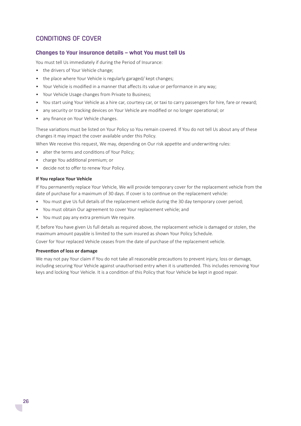# CONDITIONS OF COVER

#### **Changes to Your insurance details – what You must tell Us**

You must tell Us immediately if during the Period of Insurance:

- the drivers of Your Vehicle change;
- the place where Your Vehicle is regularly garaged/ kept changes;
- Your Vehicle is modified in a manner that affects its value or performance in any way;
- Your Vehicle Usage changes from Private to Business;
- You start using Your Vehicle as a hire car, courtesy car, or taxi to carry passengers for hire, fare or reward;
- any security or tracking devices on Your Vehicle are modified or no longer operational; or
- any finance on Your Vehicle changes.

These variations must be listed on Your Policy so You remain covered. If You do not tell Us about any of these changes it may impact the cover available under this Policy.

When We receive this request, We may, depending on Our risk appetite and underwriting rules:

- alter the terms and conditions of Your Policy;
- charge You additional premium; or
- decide not to offer to renew Your Policy.

#### **If You replace Your Vehicle**

If You permanently replace Your Vehicle, We will provide temporary cover for the replacement vehicle from the date of purchase for a maximum of 30 days. If cover is to continue on the replacement vehicle:

- You must give Us full details of the replacement vehicle during the 30 day temporary cover period;
- You must obtain Our agreement to cover Your replacement vehicle; and
- You must pay any extra premium We require.

If, before You have given Us full details as required above, the replacement vehicle is damaged or stolen, the maximum amount payable is limited to the sum insured as shown Your Policy Schedule.

Cover for Your replaced Vehicle ceases from the date of purchase of the replacement vehicle.

#### **Prevention of loss or damage**

We may not pay Your claim if You do not take all reasonable precautions to prevent injury, loss or damage, including securing Your Vehicle against unauthorised entry when it is unattended. This includes removing Your keys and locking Your Vehicle. It is a condition of this Policy that Your Vehicle be kept in good repair.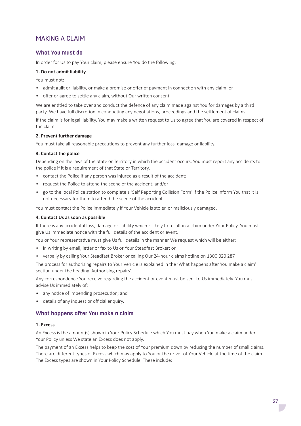# MAKING A CLAIM

# **What You must do**

In order for Us to pay Your claim, please ensure You do the following:

#### **1. Do not admit liability**

You must not:

- admit guilt or liability, or make a promise or offer of payment in connection with any claim; or
- offer or agree to settle any claim, without Our written consent.

We are entitled to take over and conduct the defence of any claim made against You for damages by a third party. We have full discretion in conducting any negotiations, proceedings and the settlement of claims.

If the claim is for legal liability, You may make a written request to Us to agree that You are covered in respect of the claim.

#### **2. Prevent further damage**

You must take all reasonable precautions to prevent any further loss, damage or liability.

#### **3. Contact the police**

Depending on the laws of the State or Territory in which the accident occurs, You must report any accidents to the police if it is a requirement of that State or Territory.

- contact the Police if any person was injured as a result of the accident:
- request the Police to attend the scene of the accident; and/or
- go to the local Police station to complete a 'Self Reporting Collision Form' if the Police inform You that it is not necessary for them to attend the scene of the accident.

You must contact the Police immediately if Your Vehicle is stolen or maliciously damaged.

#### **4. Contact Us as soon as possible**

If there is any accidental loss, damage or liability which is likely to result in a claim under Your Policy, You must give Us immediate notice with the full details of the accident or event.

You or Your representative must give Us full details in the manner We request which will be either:

- in writing by email, letter or fax to Us or Your Steadfast Broker; or
- verbally by calling Your Steadfast Broker or calling Our 24-hour claims hotline on 1300 020 287.

The process for authorising repairs to Your Vehicle is explained in the 'What happens after You make a claim' section under the heading 'Authorising repairs'.

Any correspondence You receive regarding the accident or event must be sent to Us immediately. You must advise Us immediately of:

- any notice of impending prosecution; and
- details of any inquest or official enquiry.

#### **What happens after You make a claim**

#### **1. Excess**

An Excess is the amount(s) shown in Your Policy Schedule which You must pay when You make a claim under Your Policy unless We state an Excess does not apply.

The payment of an Excess helps to keep the cost of Your premium down by reducing the number of small claims. There are different types of Excess which may apply to You or the driver of Your Vehicle at the time of the claim. The Excess types are shown in Your Policy Schedule. These include: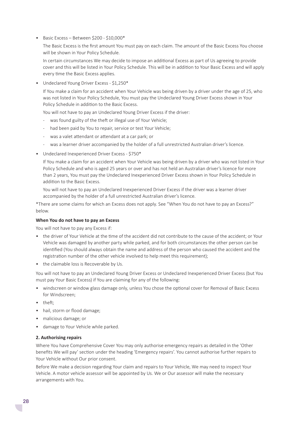• Basic Excess – Between \$200 - \$10,000\*

The Basic Excess is the first amount You must pay on each claim. The amount of the Basic Excess You choose will be shown in Your Policy Schedule.

In certain circumstances We may decide to impose an additional Excess as part of Us agreeing to provide cover and this will be listed in Your Policy Schedule. This will be in addition to Your Basic Excess and will apply every time the Basic Excess applies.

• Undeclared Young Driver Excess - \$1,250\*

If You make a claim for an accident when Your Vehicle was being driven by a driver under the age of 25, who was not listed in Your Policy Schedule, You must pay the Undeclared Young Driver Excess shown in Your Policy Schedule in addition to the Basic Excess.

You will not have to pay an Undeclared Young Driver Excess if the driver:

- was found guilty of the theft or illegal use of Your Vehicle;
- had been paid by You to repair, service or test Your Vehicle;
- was a valet attendant or attendant at a car park; or
- was a learner driver accompanied by the holder of a full unrestricted Australian driver's licence.
- Undeclared Inexperienced Driver Excess \$750\*

If You make a claim for an accident when Your Vehicle was being driven by a driver who was not listed in Your Policy Schedule and who is aged 25 years or over and has not held an Australian driver's licence for more than 2 years, You must pay the Undeclared Inexperienced Driver Excess shown in Your Policy Schedule in addition to the Basic Excess.

You will not have to pay an Undeclared Inexperienced Driver Excess if the driver was a learner driver accompanied by the holder of a full unrestricted Australian driver's licence.

\*There are some claims for which an Excess does not apply. See "When You do not have to pay an Excess?" below.

#### **When You do not have to pay an Excess**

You will not have to pay any Excess if:

- the driver of Your Vehicle at the time of the accident did not contribute to the cause of the accident; or Your Vehicle was damaged by another party while parked, and for both circumstances the other person can be identified (You should always obtain the name and address of the person who caused the accident and the registration number of the other vehicle involved to help meet this requirement);
- the claimable loss is Recoverable by Us.

You will not have to pay an Undeclared Young Driver Excess or Undeclared Inexperienced Driver Excess (but You must pay Your Basic Excess) if You are claiming for any of the following:

- windscreen or window glass damage only, unless You chose the optional cover for Removal of Basic Excess for Windscreen;
- theft;
- hail, storm or flood damage:
- malicious damage; or
- damage to Your Vehicle while parked.

#### **2. Authorising repairs**

Where You have Comprehensive Cover You may only authorise emergency repairs as detailed in the 'Other benefits We will pay' section under the heading 'Emergency repairs'. You cannot authorise further repairs to Your Vehicle without Our prior consent.

Before We make a decision regarding Your claim and repairs to Your Vehicle, We may need to inspect Your Vehicle. A motor vehicle assessor will be appointed by Us. We or Our assessor will make the necessary arrangements with You.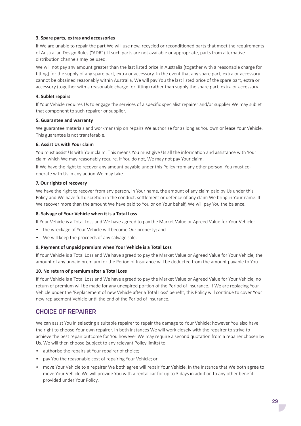#### **3. Spare parts, extras and accessories**

If We are unable to repair the part We will use new, recycled or reconditioned parts that meet the requirements of Australian Design Rules ("ADR"). If such parts are not available or appropriate, parts from alternative distribution channels may be used.

We will not pay any amount greater than the last listed price in Australia (together with a reasonable charge for fitting) for the supply of any spare part, extra or accessory. In the event that any spare part, extra or accessory cannot be obtained reasonably within Australia, We will pay You the last listed price of the spare part, extra or accessory (together with a reasonable charge for fitting) rather than supply the spare part, extra or accessory.

#### **4. Sublet repairs**

If Your Vehicle requires Us to engage the services of a specific specialist repairer and/or supplier We may sublet that component to such repairer or supplier.

#### **5. Guarantee and warranty**

We guarantee materials and workmanship on repairs We authorise for as long as You own or lease Your Vehicle. This guarantee is not transferable.

#### **6. Assist Us with Your claim**

You must assist Us with Your claim. This means You must give Us all the information and assistance with Your claim which We may reasonably require. If You do not, We may not pay Your claim.

If We have the right to recover any amount payable under this Policy from any other person, You must cooperate with Us in any action We may take.

#### **7. Our rights of recovery**

We have the right to recover from any person, in Your name, the amount of any claim paid by Us under this Policy and We have full discretion in the conduct, settlement or defence of any claim We bring in Your name. If We recover more than the amount We have paid to You or on Your behalf, We will pay You the balance.

#### **8. Salvage of Your Vehicle when it is a Total Loss**

If Your Vehicle is a Total Loss and We have agreed to pay the Market Value or Agreed Value for Your Vehicle:

- the wreckage of Your Vehicle will become Our property; and
- We will keep the proceeds of any salvage sale.

#### **9. Payment of unpaid premium when Your Vehicle is a Total Loss**

If Your Vehicle is a Total Loss and We have agreed to pay the Market Value or Agreed Value for Your Vehicle, the amount of any unpaid premium for the Period of Insurance will be deducted from the amount payable to You.

#### **10. No return of premium after a Total Loss**

If Your Vehicle is a Total Loss and We have agreed to pay the Market Value or Agreed Value for Your Vehicle, no return of premium will be made for any unexpired portion of the Period of Insurance. If We are replacing Your Vehicle under the 'Replacement of new Vehicle after a Total Loss' benefit, this Policy will continue to cover Your new replacement Vehicle until the end of the Period of Insurance.

# CHOICE OF REPAIRER

We can assist You in selecting a suitable repairer to repair the damage to Your Vehicle; however You also have the right to choose Your own repairer. In both instances We will work closely with the repairer to strive to achieve the best repair outcome for You however We may require a second quotation from a repairer chosen by Us. We will then choose (subject to any relevant Policy limits) to:

- authorise the repairs at Your repairer of choice;
- pay You the reasonable cost of repairing Your Vehicle; or
- move Your Vehicle to a repairer We both agree will repair Your Vehicle. In the instance that We both agree to move Your Vehicle We will provide You with a rental car for up to 3 days in addition to any other benefit provided under Your Policy.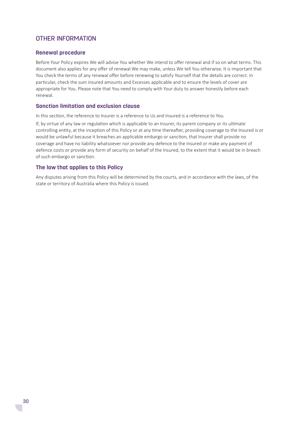# OTHER INFORMATION

#### **Renewal procedure**

Before Your Policy expires We will advise You whether We intend to offer renewal and if so on what terms. This document also applies for any offer of renewal We may make, unless We tell You otherwise. It is important that You check the terms of any renewal offer before renewing to satisfy Yourself that the details are correct. In particular, check the sum insured amounts and Excesses applicable and to ensure the levels of cover are appropriate for You. Please note that You need to comply with Your duty to answer honestly before each renewal.

#### **Sanction limitation and exclusion clause**

In this section, the reference to Insurer is a reference to Us and Insured is a reference to You.

If, by virtue of any law or regulation which is applicable to an Insurer, its parent company or its ultimate controlling entity, at the inception of this Policy or at any time thereafter, providing coverage to the Insured is or would be unlawful because it breaches an applicable embargo or sanction, that Insurer shall provide no coverage and have no liability whatsoever nor provide any defence to the Insured or make any payment of defence costs or provide any form of security on behalf of the Insured, to the extent that it would be in breach of such embargo or sanction.

#### **The law that applies to this Policy**

Any disputes arising from this Policy will be determined by the courts, and in accordance with the laws, of the state or territory of Australia where this Policy is issued.